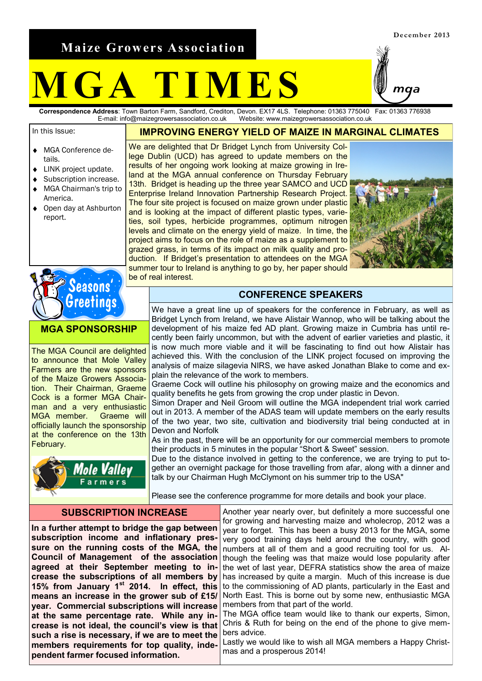**Maize Growers Association**

# **M G A T I M E S**

**Correspondence Address**: Town Barton Farm, Sandford, Crediton, Devon. EX17 4LS. Telephone: 01363 775040 Fax: 01363 776938 Website: www.maizegrowersassociation.co.uk

In this Issue:

- **IMPROVING ENERGY YIELD OF MAIZE IN MARGINAL CLIMATES**
- MGA Conference de- $\blacktriangle$ tails.
- LINK project update.
- Subscription increase. MGA Chairman's trip to
- America.
- Open day at Ashburton  $\bullet$ report.

We are delighted that Dr Bridget Lynch from University College Dublin (UCD) has agreed to update members on the results of her ongoing work looking at maize growing in Ireland at the MGA annual conference on Thursday February 13th. Bridget is heading up the three year SAMCO and UCD Enterprise Ireland Innovation Partnership Research Project. The four site project is focused on maize grown under plastic and is looking at the impact of different plastic types, varieties, soil types, herbicide programmes, optimum nitrogen levels and climate on the energy yield of maize. In time, the project aims to focus on the role of maize as a supplement to grazed grass, in terms of its impact on milk quality and production. If Bridget's presentation to attendees on the MGA summer tour to Ireland is anything to go by, her paper should be of real interest.





**MGA SPONSORSHIP**

The MGA Council are delighted to announce that Mole Valley Farmers are the new sponsors of the Maize Growers Association. Their Chairman, Graeme Cock is a former MGA Chairman and a very enthusiastic MGA member. Graeme will officially launch the sponsorship at the conference on the 13th February.



#### **CONFERENCE SPEAKERS**

We have a great line up of speakers for the conference in February, as well as Bridget Lynch from Ireland, we have Alistair Wannop, who will be talking about the development of his maize fed AD plant. Growing maize in Cumbria has until recently been fairly uncommon, but with the advent of earlier varieties and plastic, it is now much more viable and it will be fascinating to find out how Alistair has achieved this. With the conclusion of the LINK project focused on improving the analysis of maize silagevia NIRS, we have asked Jonathan Blake to come and ex-

plain the relevance of the work to members. Graeme Cock will outline his philosophy on growing maize and the economics and quality benefits he gets from growing the crop under plastic in Devon.

Simon Draper and Neil Groom will outline the MGA independent trial work carried out in 2013. A member of the ADAS team will update members on the early results of the two year, two site, cultivation and biodiversity trial being conducted at in Devon and Norfolk

As in the past, there will be an opportunity for our commercial members to promote their products in 5 minutes in the popular "Short & Sweet" session.

Due to the distance involved in getting to the conference, we are trying to put together an overnight package for those travelling from afar, along with a dinner and talk by our Chairman Hugh McClymont on his summer trip to the USA"

Please see the conference programme for more details and book your place.

#### **SUBSCRIPTION INCREASE**

**In a further attempt to bridge the gap between subscription income and inflationary pressure on the running costs of the MGA, the Council of Management of the association agreed at their September meeting to increase the subscriptions of all members by 15% from January 1st 2014. In effect, this means an increase in the grower sub of £15/ year. Commercial subscriptions will increase at the same percentage rate. While any increase is not ideal, the council's view is that such a rise is necessary, if we are to meet the members requirements for top quality, independent farmer focused information.** 

Another year nearly over, but definitely a more successful one for growing and harvesting maize and wholecrop, 2012 was a year to forget. This has been a busy 2013 for the MGA, some very good training days held around the country, with good numbers at all of them and a good recruiting tool for us. Although the feeling was that maize would lose popularity after the wet of last year, DEFRA statistics show the area of maize has increased by quite a margin. Much of this increase is due to the commissioning of AD plants, particularly in the East and North East. This is borne out by some new, enthusiastic MGA members from that part of the world.

The MGA office team would like to thank our experts, Simon, Chris & Ruth for being on the end of the phone to give members advice.

Lastly we would like to wish all MGA members a Happy Christmas and a prosperous 2014!

maa